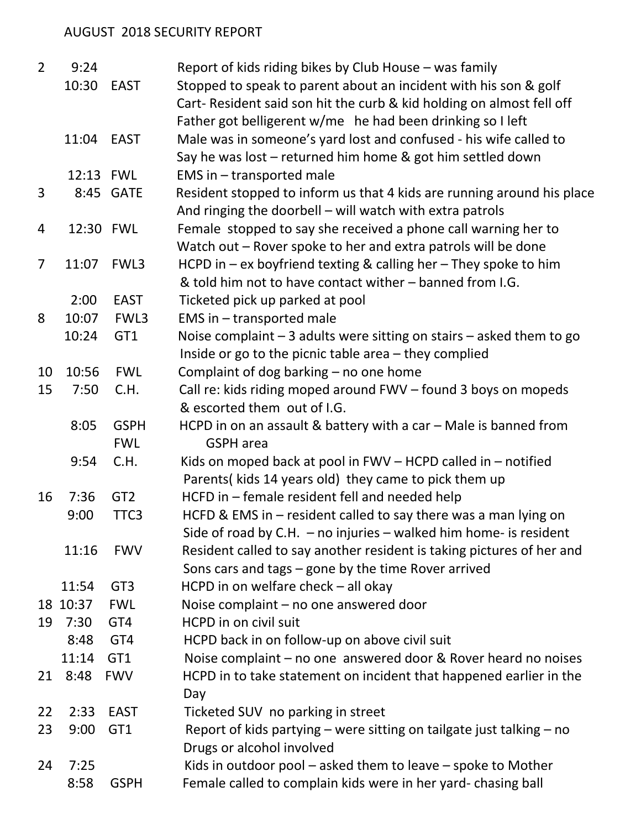## AUGUST 2018 SECURITY REPORT

| $\overline{2}$ | 9:24      |                  | Report of kids riding bikes by Club House – was family                   |
|----------------|-----------|------------------|--------------------------------------------------------------------------|
|                | 10:30     | <b>EAST</b>      | Stopped to speak to parent about an incident with his son & golf         |
|                |           |                  | Cart- Resident said son hit the curb & kid holding on almost fell off    |
|                |           |                  | Father got belligerent w/me he had been drinking so I left               |
|                | 11:04     | EAST             | Male was in someone's yard lost and confused - his wife called to        |
|                |           |                  | Say he was lost - returned him home & got him settled down               |
|                | 12:13 FWL |                  | EMS in - transported male                                                |
| 3              |           | 8:45 GATE        | Resident stopped to inform us that 4 kids are running around his place   |
|                |           |                  | And ringing the doorbell - will watch with extra patrols                 |
| 4              |           | 12:30 FWL        | Female stopped to say she received a phone call warning her to           |
|                |           |                  | Watch out – Rover spoke to her and extra patrols will be done            |
| $\overline{7}$ | 11:07     | FWL3             | HCPD in $-$ ex boyfriend texting & calling her $-$ They spoke to him     |
|                |           |                  | & told him not to have contact wither – banned from I.G.                 |
|                | 2:00      | <b>EAST</b>      | Ticketed pick up parked at pool                                          |
| 8              | 10:07     | FWL3             | EMS in - transported male                                                |
|                | 10:24     | GT1              | Noise complaint $-3$ adults were sitting on stairs $-$ asked them to go  |
|                |           |                  | Inside or go to the picnic table area - they complied                    |
| 10             | 10:56     | <b>FWL</b>       | Complaint of dog barking - no one home                                   |
| 15             | 7:50      | C.H.             | Call re: kids riding moped around FWV - found 3 boys on mopeds           |
|                |           |                  | & escorted them out of I.G.                                              |
|                | 8:05      | <b>GSPH</b>      | HCPD in on an assault & battery with a car $-$ Male is banned from       |
|                |           | <b>FWL</b>       | <b>GSPH</b> area                                                         |
|                | 9:54      | C.H.             | Kids on moped back at pool in $FWV - HCPD$ called in $-$ notified        |
|                |           |                  | Parents(kids 14 years old) they came to pick them up                     |
| 16             | 7:36      | GT <sub>2</sub>  | HCFD in - female resident fell and needed help                           |
|                | 9:00      | TTC <sub>3</sub> | HCFD & EMS in $-$ resident called to say there was a man lying on        |
|                |           |                  | Side of road by C.H. $-$ no injuries $-$ walked him home- is resident    |
|                | 11:16     | <b>FWV</b>       | Resident called to say another resident is taking pictures of her and    |
|                |           |                  | Sons cars and tags - gone by the time Rover arrived                      |
|                | 11:54     | GT <sub>3</sub>  | HCPD in on welfare check - all okay                                      |
|                | 18 10:37  | <b>FWL</b>       | Noise complaint - no one answered door                                   |
| 19             | 7:30      | GT4              | HCPD in on civil suit                                                    |
|                | 8:48      | GT4              | HCPD back in on follow-up on above civil suit                            |
|                | 11:14     | GT <sub>1</sub>  | Noise complaint – no one answered door & Rover heard no noises           |
| 21             | 8:48      | <b>FWV</b>       | HCPD in to take statement on incident that happened earlier in the       |
|                |           |                  | Day                                                                      |
| 22             | 2:33      | <b>EAST</b>      | Ticketed SUV no parking in street                                        |
| 23             | 9:00      | GT1              | Report of kids partying $-$ were sitting on tailgate just talking $-$ no |
|                |           |                  | Drugs or alcohol involved                                                |
| 24             | 7:25      |                  | Kids in outdoor pool $-$ asked them to leave $-$ spoke to Mother         |
|                | 8:58      | <b>GSPH</b>      | Female called to complain kids were in her yard- chasing ball            |